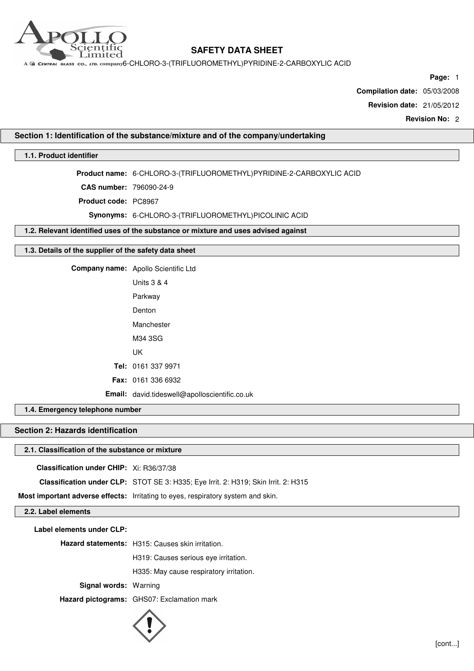

A E CENTRAL GLASS CO., LTD. COMPANY6-CHLORO-3-(TRIFLUOROMETHYL)PYRIDINE-2-CARBOXYLIC ACID

**Page:** 1

**Compilation date:** 05/03/2008

**Revision date:** 21/05/2012

**Revision No:** 2

## **Section 1: Identification of the substance/mixture and of the company/undertaking**

## **1.1. Product identifier**

**Product name:** 6-CHLORO-3-(TRIFLUOROMETHYL)PYRIDINE-2-CARBOXYLIC ACID

**CAS number:** 796090-24-9

**Product code:** PC8967

**Synonyms:** 6-CHLORO-3-(TRIFLUOROMETHYL)PICOLINIC ACID

**1.2. Relevant identified uses of the substance or mixture and uses advised against**

### **1.3. Details of the supplier of the safety data sheet**

**Company name:** Apollo Scientific Ltd Units 3 & 4

Parkway Denton Manchester M34 3SG UK **Tel:** 0161 337 9971 **Fax:** 0161 336 6932 **Email:** david.tideswell@apolloscientific.co.uk

**1.4. Emergency telephone number**

## **Section 2: Hazards identification**

### **2.1. Classification of the substance or mixture**

**Classification under CHIP:** Xi: R36/37/38

**Classification under CLP:** STOT SE 3: H335; Eye Irrit. 2: H319; Skin Irrit. 2: H315

**Most important adverse effects:** Irritating to eyes, respiratory system and skin.

### **2.2. Label elements**

**Label elements under CLP:**

**Hazard statements:** H315: Causes skin irritation.

H319: Causes serious eye irritation.

H335: May cause respiratory irritation.

**Signal words:** Warning

**Hazard pictograms:** GHS07: Exclamation mark

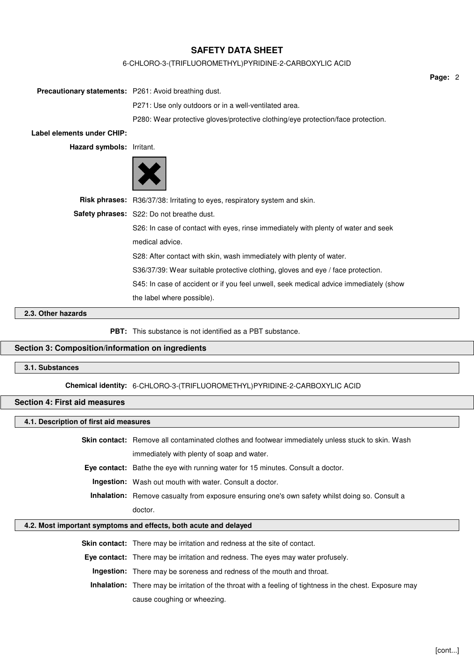## 6-CHLORO-3-(TRIFLUOROMETHYL)PYRIDINE-2-CARBOXYLIC ACID

| <b>Precautionary statements:</b> P261: Avoid breathing dust. |                                                                                       |
|--------------------------------------------------------------|---------------------------------------------------------------------------------------|
|                                                              | P271: Use only outdoors or in a well-ventilated area.                                 |
|                                                              | P280: Wear protective gloves/protective clothing/eye protection/face protection.      |
| Label elements under CHIP:                                   |                                                                                       |
| Hazard symbols: Irritant.                                    |                                                                                       |
|                                                              |                                                                                       |
|                                                              | Risk phrases: R36/37/38: Irritating to eyes, respiratory system and skin.             |
|                                                              | Safety phrases: S22: Do not breathe dust.                                             |
|                                                              | S26: In case of contact with eyes, rinse immediately with plenty of water and seek    |
|                                                              | medical advice.                                                                       |
|                                                              | S28: After contact with skin, wash immediately with plenty of water.                  |
|                                                              | S36/37/39: Wear suitable protective clothing, gloves and eye / face protection.       |
|                                                              | S45: In case of accident or if you feel unwell, seek medical advice immediately (show |
|                                                              | the label where possible).                                                            |
| 2.2. Other hezerde                                           |                                                                                       |

#### **2.3. Other hazards**

**PBT:** This substance is not identified as a PBT substance.

## **Section 3: Composition/information on ingredients**

## **3.1. Substances**

**Chemical identity:** 6-CHLORO-3-(TRIFLUOROMETHYL)PYRIDINE-2-CARBOXYLIC ACID

### **Section 4: First aid measures**

### **4.1. Description of first aid measures**

**Skin contact:** Remove all contaminated clothes and footwear immediately unless stuck to skin. Wash immediately with plenty of soap and water. **Eye contact:** Bathe the eye with running water for 15 minutes. Consult a doctor.

**Ingestion:** Wash out mouth with water. Consult a doctor.

**Inhalation:** Remove casualty from exposure ensuring one's own safety whilst doing so. Consult a doctor.

#### **4.2. Most important symptoms and effects, both acute and delayed**

**Skin contact:** There may be irritation and redness at the site of contact.

**Eye contact:** There may be irritation and redness. The eyes may water profusely.

**Ingestion:** There may be soreness and redness of the mouth and throat.

**Inhalation:** There may be irritation of the throat with a feeling of tightness in the chest. Exposure may cause coughing or wheezing.

**Page:** 2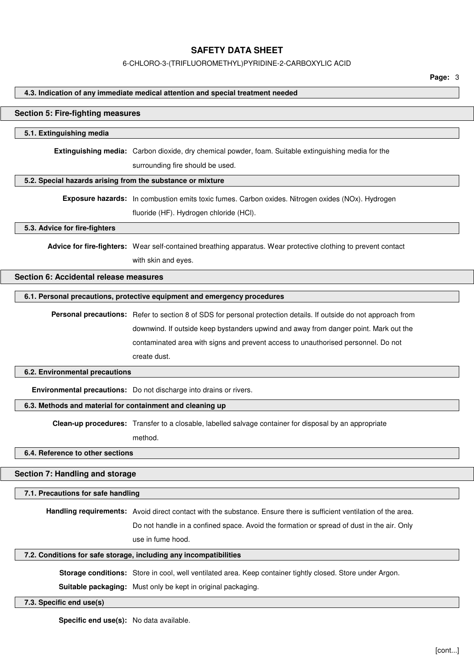#### 6-CHLORO-3-(TRIFLUOROMETHYL)PYRIDINE-2-CARBOXYLIC ACID

**Page:** 3

#### **4.3. Indication of any immediate medical attention and special treatment needed**

#### **Section 5: Fire-fighting measures**

#### **5.1. Extinguishing media**

**Extinguishing media:** Carbon dioxide, dry chemical powder, foam. Suitable extinguishing media for the surrounding fire should be used.

#### **5.2. Special hazards arising from the substance or mixture**

**Exposure hazards:** In combustion emits toxic fumes. Carbon oxides. Nitrogen oxides (NOx). Hydrogen fluoride (HF). Hydrogen chloride (HCl).

#### **5.3. Advice for fire-fighters**

**Advice for fire-fighters:** Wear self-contained breathing apparatus. Wear protective clothing to prevent contact with skin and eyes.

# **Section 6: Accidental release measures**

#### **6.1. Personal precautions, protective equipment and emergency procedures**

**Personal precautions:** Refer to section 8 of SDS for personal protection details. If outside do not approach from downwind. If outside keep bystanders upwind and away from danger point. Mark out the contaminated area with signs and prevent access to unauthorised personnel. Do not create dust.

#### **6.2. Environmental precautions**

**Environmental precautions:** Do not discharge into drains or rivers.

### **6.3. Methods and material for containment and cleaning up**

**Clean-up procedures:** Transfer to a closable, labelled salvage container for disposal by an appropriate

method.

### **6.4. Reference to other sections**

#### **Section 7: Handling and storage**

#### **7.1. Precautions for safe handling**

**Handling requirements:** Avoid direct contact with the substance. Ensure there is sufficient ventilation of the area.

Do not handle in a confined space. Avoid the formation or spread of dust in the air. Only use in fume hood.

#### **7.2. Conditions for safe storage, including any incompatibilities**

**Storage conditions:** Store in cool, well ventilated area. Keep container tightly closed. Store under Argon.

**Suitable packaging:** Must only be kept in original packaging.

#### **7.3. Specific end use(s)**

**Specific end use(s):** No data available.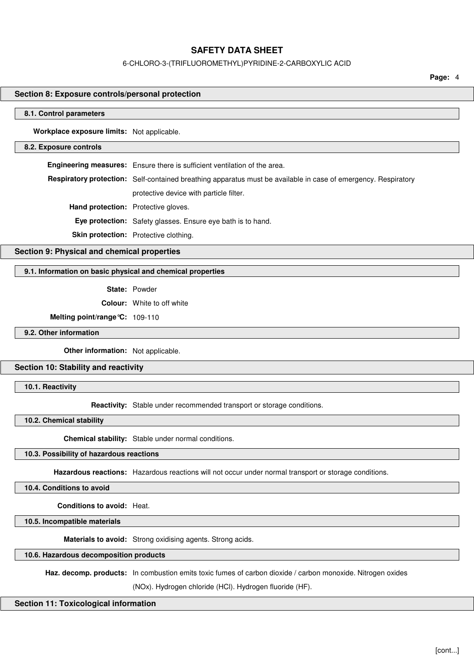#### 6-CHLORO-3-(TRIFLUOROMETHYL)PYRIDINE-2-CARBOXYLIC ACID

**Page:** 4

## **Section 8: Exposure controls/personal protection**

#### **8.1. Control parameters**

**Workplace exposure limits:** Not applicable.

#### **8.2. Exposure controls**

**Engineering measures:** Ensure there is sufficient ventilation of the area. **Respiratory protection:** Self-contained breathing apparatus must be available in case of emergency. Respiratory protective device with particle filter. **Hand protection:** Protective gloves. **Eye protection:** Safety glasses. Ensure eye bath is to hand. **Skin protection:** Protective clothing.

## **Section 9: Physical and chemical properties**

## **9.1. Information on basic physical and chemical properties**

**State:** Powder

**Colour:** White to off white

**Melting point/range°C:** 109-110

**9.2. Other information**

**Other information:** Not applicable.

### **Section 10: Stability and reactivity**

**10.1. Reactivity**

**Reactivity:** Stable under recommended transport or storage conditions.

**10.2. Chemical stability**

**Chemical stability:** Stable under normal conditions.

### **10.3. Possibility of hazardous reactions**

**Hazardous reactions:** Hazardous reactions will not occur under normal transport or storage conditions.

**10.4. Conditions to avoid**

**Conditions to avoid:** Heat.

**10.5. Incompatible materials**

**Materials to avoid:** Strong oxidising agents. Strong acids.

## **10.6. Hazardous decomposition products**

Haz. decomp. products: In combustion emits toxic fumes of carbon dioxide / carbon monoxide. Nitrogen oxides

(NOx). Hydrogen chloride (HCl). Hydrogen fluoride (HF).

#### **Section 11: Toxicological information**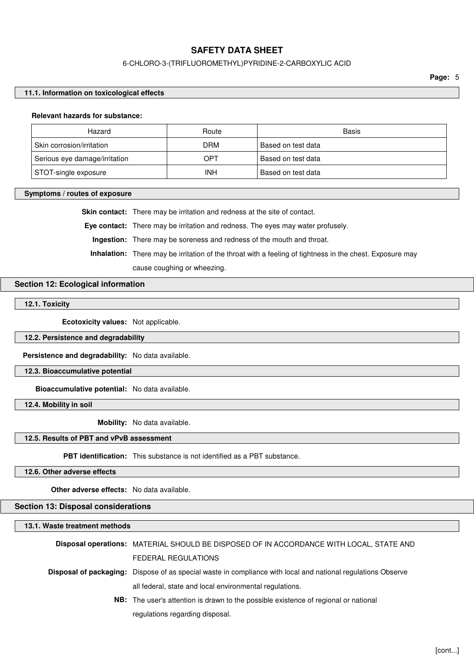### 6-CHLORO-3-(TRIFLUOROMETHYL)PYRIDINE-2-CARBOXYLIC ACID

**Page:** 5

#### **11.1. Information on toxicological effects**

#### **Relevant hazards for substance:**

| Hazard                        | Route      | Basis              |
|-------------------------------|------------|--------------------|
| Skin corrosion/irritation     | DRM        | Based on test data |
| Serious eye damage/irritation | OPT        | Based on test data |
| STOT-single exposure          | <b>INH</b> | Based on test data |

#### **Symptoms / routes of exposure**

**Skin contact:** There may be irritation and redness at the site of contact.

**Eye contact:** There may be irritation and redness. The eyes may water profusely.

**Ingestion:** There may be soreness and redness of the mouth and throat.

**Inhalation:** There may be irritation of the throat with a feeling of tightness in the chest. Exposure may cause coughing or wheezing.

### **Section 12: Ecological information**

**12.1. Toxicity**

**Ecotoxicity values:** Not applicable.

### **12.2. Persistence and degradability**

**Persistence and degradability:** No data available.

### **12.3. Bioaccumulative potential**

**Bioaccumulative potential:** No data available.

**12.4. Mobility in soil**

**Mobility:** No data available.

### **12.5. Results of PBT and vPvB assessment**

**PBT identification:** This substance is not identified as a PBT substance.

**12.6. Other adverse effects**

**Other adverse effects:** No data available.

## **Section 13: Disposal considerations**

**13.1. Waste treatment methods**

**Disposal operations:** MATERIAL SHOULD BE DISPOSED OF IN ACCORDANCE WITH LOCAL, STATE AND FEDERAL REGULATIONS

**Disposal of packaging:** Dispose of as special waste in compliance with local and national regulations Observe all federal, state and local environmental regulations.

> **NB:** The user's attention is drawn to the possible existence of regional or national regulations regarding disposal.